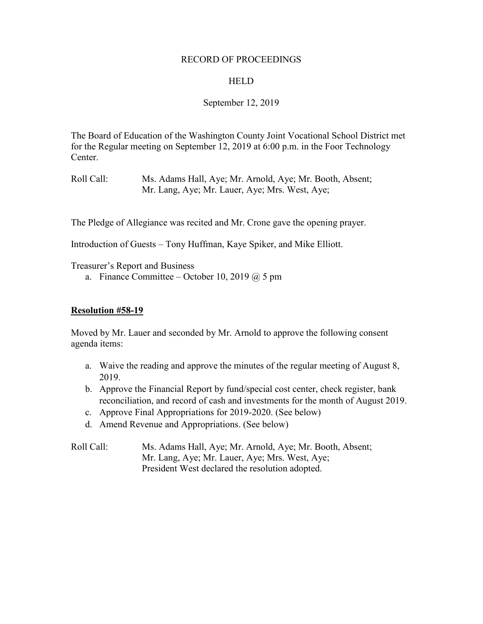#### RECORD OF PROCEEDINGS

## **HELD**

## September 12, 2019

The Board of Education of the Washington County Joint Vocational School District met for the Regular meeting on September 12, 2019 at 6:00 p.m. in the Foor Technology Center.

Roll Call: Ms. Adams Hall, Aye; Mr. Arnold, Aye; Mr. Booth, Absent; Mr. Lang, Aye; Mr. Lauer, Aye; Mrs. West, Aye;

The Pledge of Allegiance was recited and Mr. Crone gave the opening prayer.

Introduction of Guests – Tony Huffman, Kaye Spiker, and Mike Elliott.

Treasurer's Report and Business

a. Finance Committee – October 10, 2019  $\omega$  5 pm

#### **Resolution #58-19**

Moved by Mr. Lauer and seconded by Mr. Arnold to approve the following consent agenda items:

- a. Waive the reading and approve the minutes of the regular meeting of August 8, 2019.
- b. Approve the Financial Report by fund/special cost center, check register, bank reconciliation, and record of cash and investments for the month of August 2019.
- c. Approve Final Appropriations for 2019-2020. (See below)
- d. Amend Revenue and Appropriations. (See below)

Roll Call: Ms. Adams Hall, Aye; Mr. Arnold, Aye; Mr. Booth, Absent; Mr. Lang, Aye; Mr. Lauer, Aye; Mrs. West, Aye; President West declared the resolution adopted.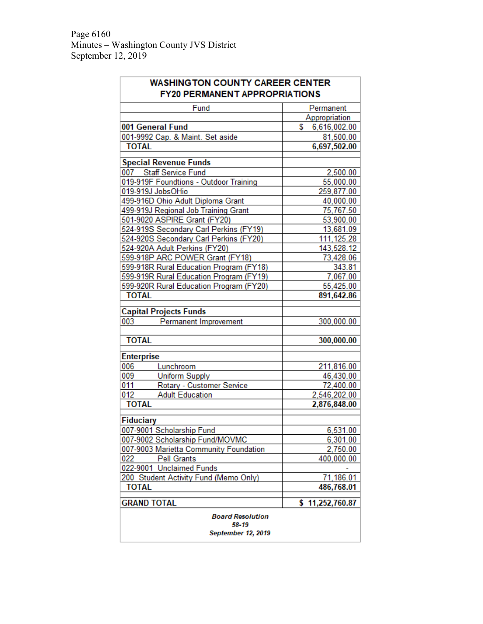Page 6160 Minutes – Washington County JVS District September 12, 2019

| <b>WASHINGTON COUNTY CAREER CENTER</b><br><b>FY20 PERMANENT APPROPRIATIONS</b> |                   |  |  |
|--------------------------------------------------------------------------------|-------------------|--|--|
| Fund                                                                           | Permanent         |  |  |
|                                                                                | Appropriation     |  |  |
| 001 General Fund                                                               | 6,616,002.00<br>S |  |  |
| 001-9992 Cap. & Maint. Set aside                                               | 81,500.00         |  |  |
| <b>TOTAL</b>                                                                   | 6,697,502.00      |  |  |
| <b>Special Revenue Funds</b>                                                   |                   |  |  |
| <b>Staff Service Fund</b><br>007                                               | 2,500.00          |  |  |
| 019-919F Foundtions - Outdoor Training                                         | 55,000.00         |  |  |
| 019-919J JobsOHio                                                              | 259,877.00        |  |  |
| 499-916D Ohio Adult Diploma Grant                                              | 40,000.00         |  |  |
| 499-919J Regional Job Training Grant                                           | 75,767.50         |  |  |
| 501-9020 ASPIRE Grant (FY20)                                                   | 53,900.00         |  |  |
| 524-919S Secondary Carl Perkins (FY19)                                         | 13,681.09         |  |  |
| 524-920S Secondary Carl Perkins (FY20)                                         | 111, 125.28       |  |  |
| 524-920A Adult Perkins (FY20)                                                  | 143,528.12        |  |  |
| 599-918P ARC POWER Grant (FY18)                                                | 73,428.06         |  |  |
| 599-918R Rural Education Program (FY18)                                        | 343.81            |  |  |
| 599-919R Rural Education Program (FY19)                                        | 7,067.00          |  |  |
| 599-920R Rural Education Program (FY20)                                        | 55,425.00         |  |  |
| <b>TOTAL</b>                                                                   | 891,642.86        |  |  |
| <b>Capital Projects Funds</b>                                                  |                   |  |  |
| 003<br>Permanent Improvement                                                   | 300,000.00        |  |  |
|                                                                                |                   |  |  |
| <b>TOTAL</b>                                                                   | 300,000.00        |  |  |
| <b>Enterprise</b>                                                              |                   |  |  |
| Lunchroom<br>006                                                               | 211,816.00        |  |  |
| <b>Uniform Supply</b><br>009                                                   | 46,430.00         |  |  |
| Rotary - Customer Service<br>011                                               | 72,400.00         |  |  |
| 012<br><b>Adult Education</b>                                                  | 2,546,202.00      |  |  |
| <b>TOTAL</b>                                                                   | 2,876,848.00      |  |  |
| <b>Fiduciary</b>                                                               |                   |  |  |
| 007-9001 Scholarship Fund                                                      | 6,531.00          |  |  |
| 007-9002 Scholarship Fund/MOVMC                                                | 6,301.00          |  |  |
| 007-9003 Marietta Community Foundation                                         | 2,750.00          |  |  |
| 022<br><b>Pell Grants</b>                                                      | 400,000.00        |  |  |
| 022-9001 Unclaimed Funds                                                       |                   |  |  |
| 200 Student Activity Fund (Memo Only)                                          | 71,186.01         |  |  |
| <b>TOTAL</b>                                                                   | 486,768.01        |  |  |
| <b>GRAND TOTAL</b>                                                             | \$11,252,760.87   |  |  |
| <b>Board Resolution</b>                                                        |                   |  |  |
| 58-19<br><b>September 12, 2019</b>                                             |                   |  |  |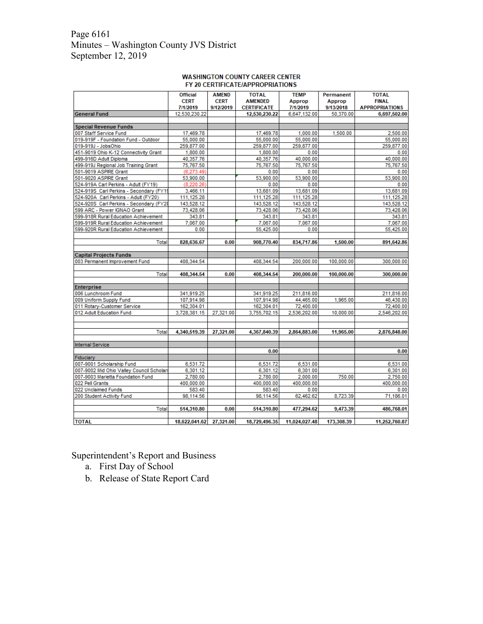# Page 6161 Minutes – Washington County JVS District September 12, 2019

#### **WASHINGTON COUNTY CAREER CENTER** FY 20 CERTIFICATE/APPROPRIATIONS

|                                           | <b>Official</b><br><b>CERT</b><br>7/1/2019 | <b>AMEND</b><br><b>CERT</b><br>9/12/2019 | <b>TOTAL</b><br><b>AMENDED</b><br><b>CERTIFICATE</b> | <b>TEMP</b><br>Approp<br>7/1/2019 | Permanent<br>Approp<br>9/13/2018 | <b>TOTAL</b><br><b>FINAL</b><br><b>APPROPRIATIONS</b> |
|-------------------------------------------|--------------------------------------------|------------------------------------------|------------------------------------------------------|-----------------------------------|----------------------------------|-------------------------------------------------------|
| <b>General Fund</b>                       | 12,530,230.22                              |                                          | 12,530,230.22                                        | 6,647,132.00                      | 50,370.00                        | 6,697,502.00                                          |
|                                           |                                            |                                          |                                                      |                                   |                                  |                                                       |
| <b>Special Revenue Funds</b>              |                                            |                                          |                                                      |                                   |                                  |                                                       |
| 007 Staff Service Fund                    | 17,469.78                                  |                                          | 17,469.78                                            | 1,000.00                          | 1,500.00                         | 2,500.00                                              |
| 019-919F - Foundation Fund - Outdoor      | 55,000.00                                  |                                          | 55,000.00                                            | 55,000.00                         |                                  | 55,000.00                                             |
| 019-919J - JobsOhio                       | 259,877.00                                 |                                          | 259,877.00                                           | 259,877.00                        |                                  | 259,877.00                                            |
| 451-9019 Ohio K-12 Connectivity Grant     | 1,800.00                                   |                                          | 1,800.00                                             | 0.00                              |                                  | 0.00                                                  |
| 499-916D Adult Diploma                    | 40,357.76                                  |                                          | 40,357.76                                            | 40,000.00                         |                                  | 40,000.00                                             |
| 499-919J Regional Job Training Grant      | 75,767.50                                  |                                          | 75,767.50                                            | 75,767.50                         |                                  | 75,767.50                                             |
| 501-9019 ASPIRE Grant                     | (6.273.49)                                 |                                          | 0.00                                                 | 0.00                              |                                  | 0.00                                                  |
| 501-9020 ASPIRE Grant                     | 53,900.00                                  |                                          | 53,900.00                                            | 53,900.00                         |                                  | 53,900.00                                             |
| 524-919A Carl Perkins - Adult (FY19)      | (8,220.26)                                 |                                          | 0.00                                                 | 0.00                              |                                  | 0.00                                                  |
| 524-919S Carl Perkins - Secondary (FY19   | 3,466.11                                   |                                          | 13,681.09                                            | 13,681.09                         |                                  | 13,681.09                                             |
| 524-920A Carl Perkins - Adult (FY20)      | 111.125.28                                 |                                          | 111,125.28                                           | 111.125.28                        |                                  | 111.125.28                                            |
| 524-920S Carl Perkins - Secondary (FY20   | 143,528.12                                 |                                          | 143,528.12                                           | 143,528.12                        |                                  | 143,528.12                                            |
| 599 ARC - Power IGNAO Grant               | 73,428.06                                  |                                          | 73,428.06                                            | 73,428.06                         |                                  | 73,428.06                                             |
| 599-918R Rural Education Achievement      | 343.81                                     |                                          | 343.81                                               | 343.81                            |                                  | 343.81                                                |
| 599-919R Rural Education Achievement      | 7,067.00                                   |                                          | 7,067.00                                             | 7,067.00                          |                                  | 7,067.00                                              |
| 599-920R Rural Education Achievement      | 0.00                                       |                                          | 55,425.00                                            | 0.00                              |                                  | 55,425.00                                             |
|                                           |                                            |                                          |                                                      |                                   |                                  |                                                       |
| Total                                     | 828,636.67                                 | 0.00                                     | 908,770.40                                           | 834,717.86                        | 1,500.00                         | 891,642.86                                            |
|                                           |                                            |                                          |                                                      |                                   |                                  |                                                       |
| <b>Capital Projects Funds</b>             |                                            |                                          |                                                      |                                   |                                  |                                                       |
| 003 Permanent Improvement Fund            | 408,344.54                                 |                                          | 408,344.54                                           | 200,000.00                        | 100,000.00                       | 300,000.00                                            |
|                                           |                                            |                                          |                                                      |                                   |                                  |                                                       |
| Total                                     | 408,344.54                                 | 0.00                                     | 408,344.54                                           | 200,000.00                        | 100,000.00                       | 300,000.00                                            |
| <b>Enterprise</b>                         |                                            |                                          |                                                      |                                   |                                  |                                                       |
| 006 Lunchroom Fund                        | 341,919.25                                 |                                          | 341,919.25                                           | 211,816.00                        |                                  | 211,816.00                                            |
| 009 Uniform Supply Fund                   | 107.914.98                                 |                                          | 107,914.98                                           | 44.465.00                         | 1,965.00                         | 46,430.00                                             |
| 011 Rotary-Customer Service               | 162,304.01                                 |                                          | 162,304.01                                           | 72,400.00                         |                                  | 72,400.00                                             |
| 012 Adult Education Fund                  | 3,728,381.15                               | 27,321.00                                | 3,755,702.15                                         | 2,536,202.00                      | 10,000.00                        | 2,546,202.00                                          |
|                                           |                                            |                                          |                                                      |                                   |                                  |                                                       |
|                                           |                                            |                                          |                                                      |                                   |                                  |                                                       |
| Total                                     | 4,340,519.39                               | 27,321.00                                | 4,367,840.39                                         | 2,864,883.00                      | 11,965.00                        | 2,876,848.00                                          |
|                                           |                                            |                                          |                                                      |                                   |                                  |                                                       |
| <b>Internal Service</b>                   |                                            |                                          |                                                      |                                   |                                  |                                                       |
|                                           |                                            |                                          | 0.00                                                 |                                   |                                  | 0.00                                                  |
| Fiduciary                                 |                                            |                                          |                                                      |                                   |                                  |                                                       |
| 007-9001 Scholarship Fund                 | 6,531.72                                   |                                          | 6,531.72                                             | 6,531.00                          |                                  | 6,531.00                                              |
| 007-9002 Mid Ohio Valley Council Scholars | 6,301.12                                   |                                          | 6,301.12                                             | 6,301.00                          |                                  | 6,301.00                                              |
| 007-9003 Marietta Foundation Fund         | 2.780.00                                   |                                          | 2,780.00                                             | 2,000.00                          | 750.00                           | 2.750.00                                              |
| 022 Pell Grants                           | 400,000.00                                 |                                          | 400,000.00                                           | 400,000.00                        |                                  | 400,000.00                                            |
| 022 Unclaimed Funds                       | 583.40                                     |                                          | 583.40                                               | 0.00                              |                                  | 0.00                                                  |
| 200 Student Activity Fund                 | 98.114.56                                  |                                          | 98.114.56                                            | 62,462.62                         | 8,723.39                         | 71,186.01                                             |
|                                           |                                            |                                          |                                                      |                                   |                                  |                                                       |
| <b>Total</b>                              | 514,310.80                                 | 0.00                                     | 514,310.80                                           | 477,294.62                        | 9,473.39                         | 486,768.01                                            |
|                                           |                                            |                                          |                                                      |                                   |                                  |                                                       |
| <b>TOTAL</b>                              | 18.622.041.62                              | 27.321.00                                | 18.729.496.35                                        | 11.024.027.48                     | 173.308.39                       | 11.252.760.87                                         |

Superintendent's Report and Business

- a. First Day of School
- b. Release of State Report Card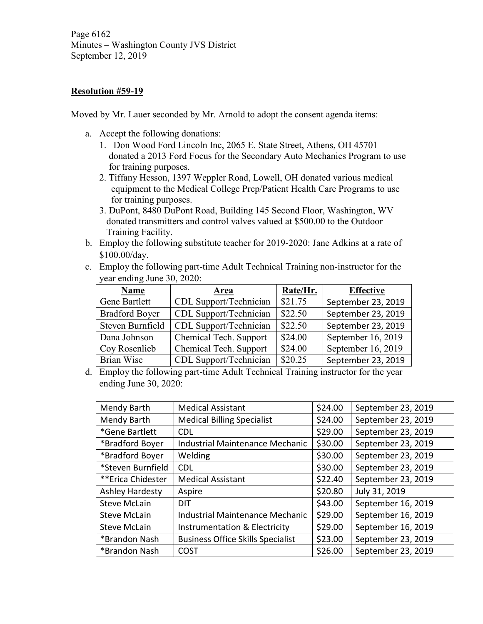Page 6162 Minutes – Washington County JVS District September 12, 2019

# **Resolution #59-19**

Moved by Mr. Lauer seconded by Mr. Arnold to adopt the consent agenda items:

- a. Accept the following donations:
	- 1. Don Wood Ford Lincoln Inc, 2065 E. State Street, Athens, OH 45701 donated a 2013 Ford Focus for the Secondary Auto Mechanics Program to use for training purposes.
	- 2. Tiffany Hesson, 1397 Weppler Road, Lowell, OH donated various medical equipment to the Medical College Prep/Patient Health Care Programs to use for training purposes.
	- 3. DuPont, 8480 DuPont Road, Building 145 Second Floor, Washington, WV donated transmitters and control valves valued at \$500.00 to the Outdoor Training Facility.
- b. Employ the following substitute teacher for 2019-2020: Jane Adkins at a rate of \$100.00/day.
- c. Employ the following part-time Adult Technical Training non-instructor for the year ending June 30, 2020:

| <b>Name</b>           | Area                   | Rate/Hr. | <b>Effective</b>   |
|-----------------------|------------------------|----------|--------------------|
| Gene Bartlett         | CDL Support/Technician | \$21.75  | September 23, 2019 |
| <b>Bradford Boyer</b> | CDL Support/Technician | \$22.50  | September 23, 2019 |
| Steven Burnfield      | CDL Support/Technician | \$22.50  | September 23, 2019 |
| Dana Johnson          | Chemical Tech. Support | \$24.00  | September 16, 2019 |
| Coy Rosenlieb         | Chemical Tech. Support | \$24.00  | September 16, 2019 |
| Brian Wise            | CDL Support/Technician | \$20.25  | September 23, 2019 |

d. Employ the following part-time Adult Technical Training instructor for the year ending June 30, 2020:

| Mendy Barth         | <b>Medical Assistant</b>                 | \$24.00 | September 23, 2019 |
|---------------------|------------------------------------------|---------|--------------------|
| Mendy Barth         | <b>Medical Billing Specialist</b>        | \$24.00 | September 23, 2019 |
| *Gene Bartlett      | <b>CDL</b>                               | \$29.00 | September 23, 2019 |
| *Bradford Boyer     | <b>Industrial Maintenance Mechanic</b>   | \$30.00 | September 23, 2019 |
| *Bradford Boyer     | Welding                                  | \$30.00 | September 23, 2019 |
| *Steven Burnfield   | <b>CDL</b>                               | \$30.00 | September 23, 2019 |
| **Erica Chidester   | <b>Medical Assistant</b>                 | \$22.40 | September 23, 2019 |
| Ashley Hardesty     | Aspire                                   | \$20.80 | July 31, 2019      |
| <b>Steve McLain</b> | <b>DIT</b>                               | \$43.00 | September 16, 2019 |
| <b>Steve McLain</b> | Industrial Maintenance Mechanic          | \$29.00 | September 16, 2019 |
| <b>Steve McLain</b> | <b>Instrumentation &amp; Electricity</b> | \$29.00 | September 16, 2019 |
| *Brandon Nash       | <b>Business Office Skills Specialist</b> | \$23.00 | September 23, 2019 |
| *Brandon Nash       | <b>COST</b>                              | \$26.00 | September 23, 2019 |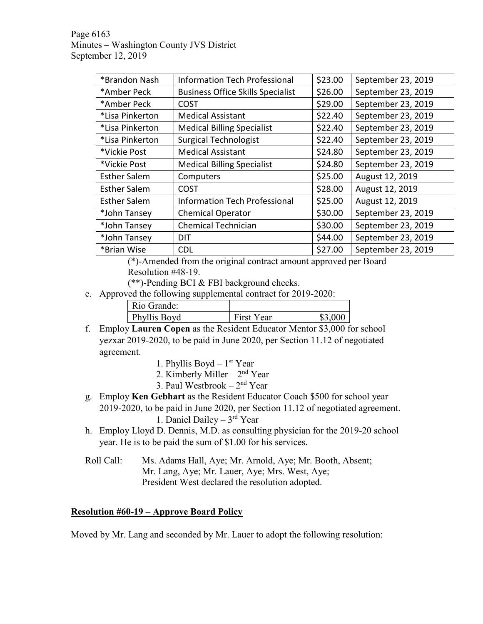Page 6163 Minutes – Washington County JVS District September 12, 2019

| *Brandon Nash       | <b>Information Tech Professional</b>     | \$23.00 | September 23, 2019 |
|---------------------|------------------------------------------|---------|--------------------|
| *Amber Peck         | <b>Business Office Skills Specialist</b> | \$26.00 | September 23, 2019 |
| *Amber Peck         | <b>COST</b>                              | \$29.00 | September 23, 2019 |
| *Lisa Pinkerton     | <b>Medical Assistant</b>                 | \$22.40 | September 23, 2019 |
| *Lisa Pinkerton     | <b>Medical Billing Specialist</b>        | \$22.40 | September 23, 2019 |
| *Lisa Pinkerton     | <b>Surgical Technologist</b>             | \$22.40 | September 23, 2019 |
| *Vickie Post        | <b>Medical Assistant</b>                 | \$24.80 | September 23, 2019 |
| *Vickie Post        | <b>Medical Billing Specialist</b>        | \$24.80 | September 23, 2019 |
| <b>Esther Salem</b> | Computers                                | \$25.00 | August 12, 2019    |
| <b>Esther Salem</b> | COST                                     | \$28.00 | August 12, 2019    |
| <b>Esther Salem</b> | <b>Information Tech Professional</b>     | \$25.00 | August 12, 2019    |
| *John Tansey        | <b>Chemical Operator</b>                 | \$30.00 | September 23, 2019 |
| *John Tansey        | <b>Chemical Technician</b>               | \$30.00 | September 23, 2019 |
| *John Tansey        | DIT                                      | \$44.00 | September 23, 2019 |
| *Brian Wise         | <b>CDL</b>                               | \$27.00 | September 23, 2019 |

(\*)-Amended from the original contract amount approved per Board Resolution #48-19.

(\*\*)-Pending BCI & FBI background checks.

e. Approved the following supplemental contract for 2019-2020:

| Rio Grande:  |            |         |
|--------------|------------|---------|
| Phyllis Boyd | First Year | \$3,000 |

- f. Employ **Lauren Copen** as the Resident Educator Mentor \$3,000 for school yezxar 2019-2020, to be paid in June 2020, per Section 11.12 of negotiated agreement.
	- 1. Phyllis Boyd  $-1<sup>st</sup>$  Year
	- 2. Kimberly Miller  $2<sup>nd</sup>$  Year
	- 3. Paul Westbrook  $-2<sup>nd</sup>$  Year
- g. Employ **Ken Gebhart** as the Resident Educator Coach \$500 for school year 2019-2020, to be paid in June 2020, per Section 11.12 of negotiated agreement. 1. Daniel Dailey –  $3<sup>rd</sup>$  Year
- h. Employ Lloyd D. Dennis, M.D. as consulting physician for the 2019-20 school year. He is to be paid the sum of \$1.00 for his services.
- Roll Call: Ms. Adams Hall, Aye; Mr. Arnold, Aye; Mr. Booth, Absent; Mr. Lang, Aye; Mr. Lauer, Aye; Mrs. West, Aye; President West declared the resolution adopted.

# **Resolution #60-19 – Approve Board Policy**

Moved by Mr. Lang and seconded by Mr. Lauer to adopt the following resolution: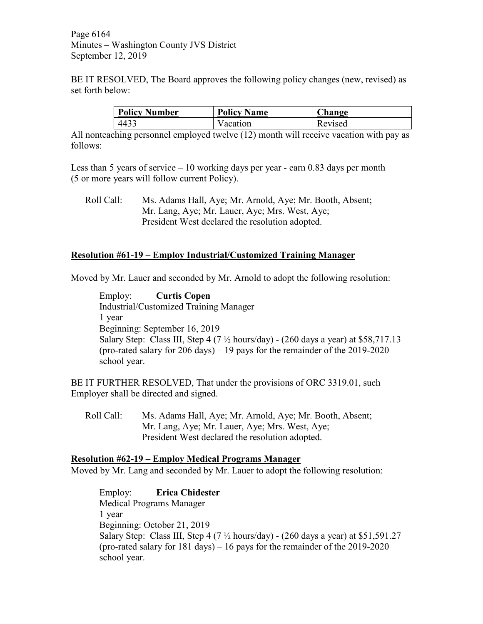Page 6164 Minutes – Washington County JVS District September 12, 2019

BE IT RESOLVED, The Board approves the following policy changes (new, revised) as set forth below:

| <b>Policy Number</b> | <b>Policy Name</b> | <b>Change</b> |
|----------------------|--------------------|---------------|
| 4433                 | Vacation           | Revised       |

All nonteaching personnel employed twelve (12) month will receive vacation with pay as follows:

Less than 5 years of service  $-10$  working days per year - earn 0.83 days per month (5 or more years will follow current Policy).

Roll Call: Ms. Adams Hall, Aye; Mr. Arnold, Aye; Mr. Booth, Absent; Mr. Lang, Aye; Mr. Lauer, Aye; Mrs. West, Aye; President West declared the resolution adopted.

# **Resolution #61-19 – Employ Industrial/Customized Training Manager**

Moved by Mr. Lauer and seconded by Mr. Arnold to adopt the following resolution:

Employ: **Curtis Copen** Industrial/Customized Training Manager 1 year Beginning: September 16, 2019 Salary Step: Class III, Step  $4$  (7  $\frac{1}{2}$  hours/day) - (260 days a year) at \$58,717.13 (pro-rated salary for 206 days) – 19 pays for the remainder of the 2019-2020 school year.

BE IT FURTHER RESOLVED, That under the provisions of ORC 3319.01, such Employer shall be directed and signed.

Roll Call: Ms. Adams Hall, Aye; Mr. Arnold, Aye; Mr. Booth, Absent; Mr. Lang, Aye; Mr. Lauer, Aye; Mrs. West, Aye; President West declared the resolution adopted.

## **Resolution #62-19 – Employ Medical Programs Manager**

Moved by Mr. Lang and seconded by Mr. Lauer to adopt the following resolution:

Employ: **Erica Chidester** Medical Programs Manager 1 year Beginning: October 21, 2019 Salary Step: Class III, Step 4 (7  $\frac{1}{2}$  hours/day) - (260 days a year) at \$51,591.27 (pro-rated salary for 181 days) – 16 pays for the remainder of the 2019-2020 school year.